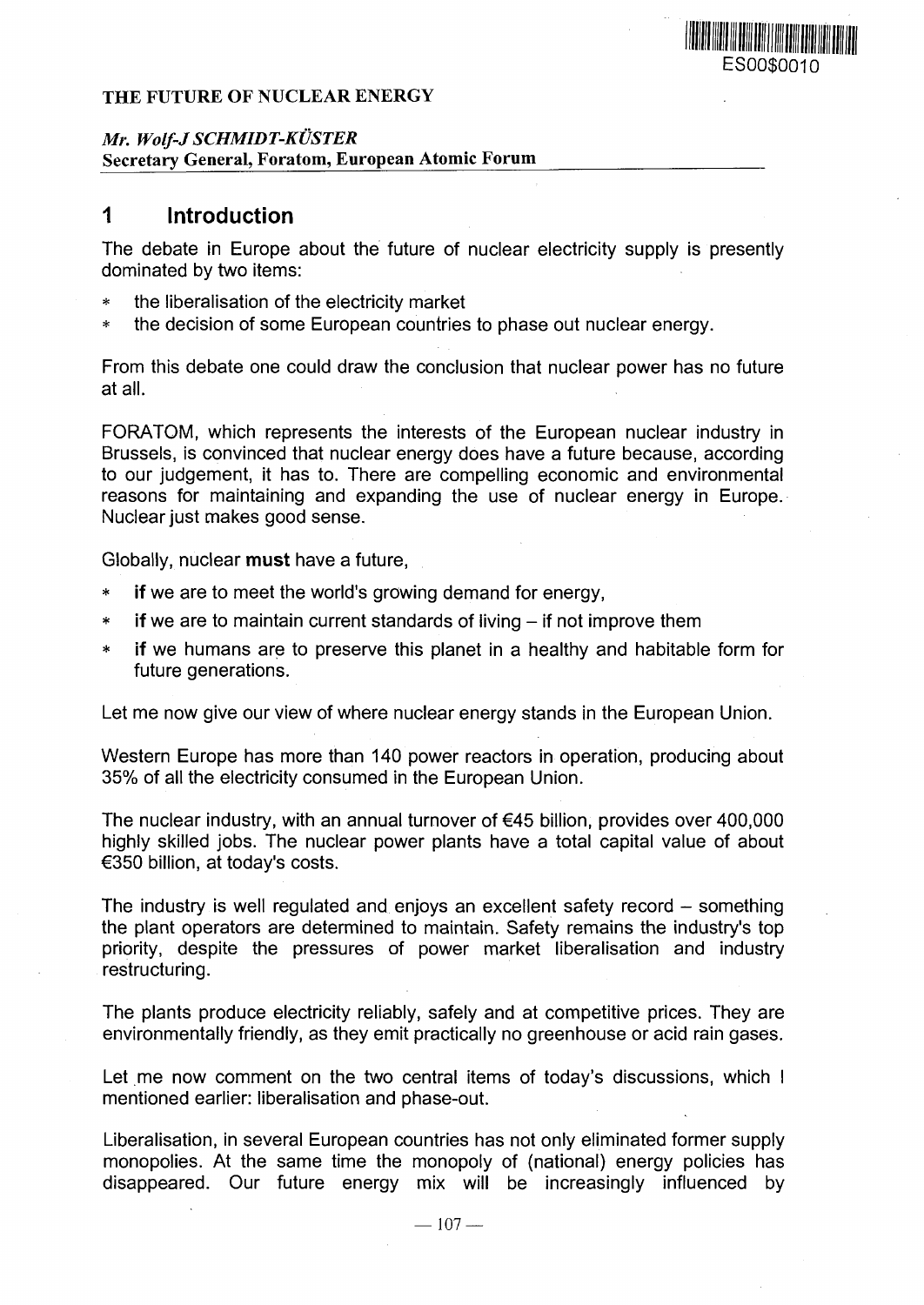### THE FUTURE OF NUCLEAR ENERGY

### *Mr. Wolf-J SCHMIDT-KUSTER* Secretary General, Foratom, European Atomic Forum

# **1 Introduction**

The debate in Europe about the future of nuclear electricity supply is presently dominated by two items:

ES00\$0010

<u> Alban Alban Manazarta (</u>

- the liberalisation of the electricity market
- \* the decision of some European countries to phase out nuclear energy.

From this debate one could draw the conclusion that nuclear power has no future at all.

FORATOM, which represents the interests of the European nuclear industry in Brussels, is convinced that nuclear energy does have a future because, according to our judgement, it has to. There are compelling economic and environmental reasons for maintaining and expanding the use of nuclear energy in Europe. Nuclear just makes good sense.

Globally, nuclear **must** have a future,

- if we are to meet the world's growing demand for energy.
- $*$  if we are to maintain current standards of living  $-$  if not improve them
- if we humans are to preserve this planet in a healthy and habitable form for future generations.

Let me now give our view of where nuclear energy stands in the European Union.

Western Europe has more than 140 power reactors in operation, producing about 35% of all the electricity consumed in the European Union.

The nuclear industry, with an annual turnover of €45 billion, provides over 400,000 highly skilled jobs. The nuclear power plants have a total capital value of about €350 billion, at today's costs.

The industry is well regulated and enjoys an excellent safety record  $-$  something the plant operators are determined to maintain. Safety remains the industry's top priority, despite the pressures of power market liberalisation and industry restructuring.

The plants produce electricity reliably, safely and at competitive prices. They are environmentally friendly, as they emit practically no greenhouse or acid rain gases.

Let me now comment on the two central items of today's discussions, which I mentioned earlier: liberalisation and phase-out.

Liberalisation, in several European countries has not only eliminated former supply monopolies. At the same time the monopoly of (national) energy policies has disappeared. Our future energy mix will be increasingly influenced by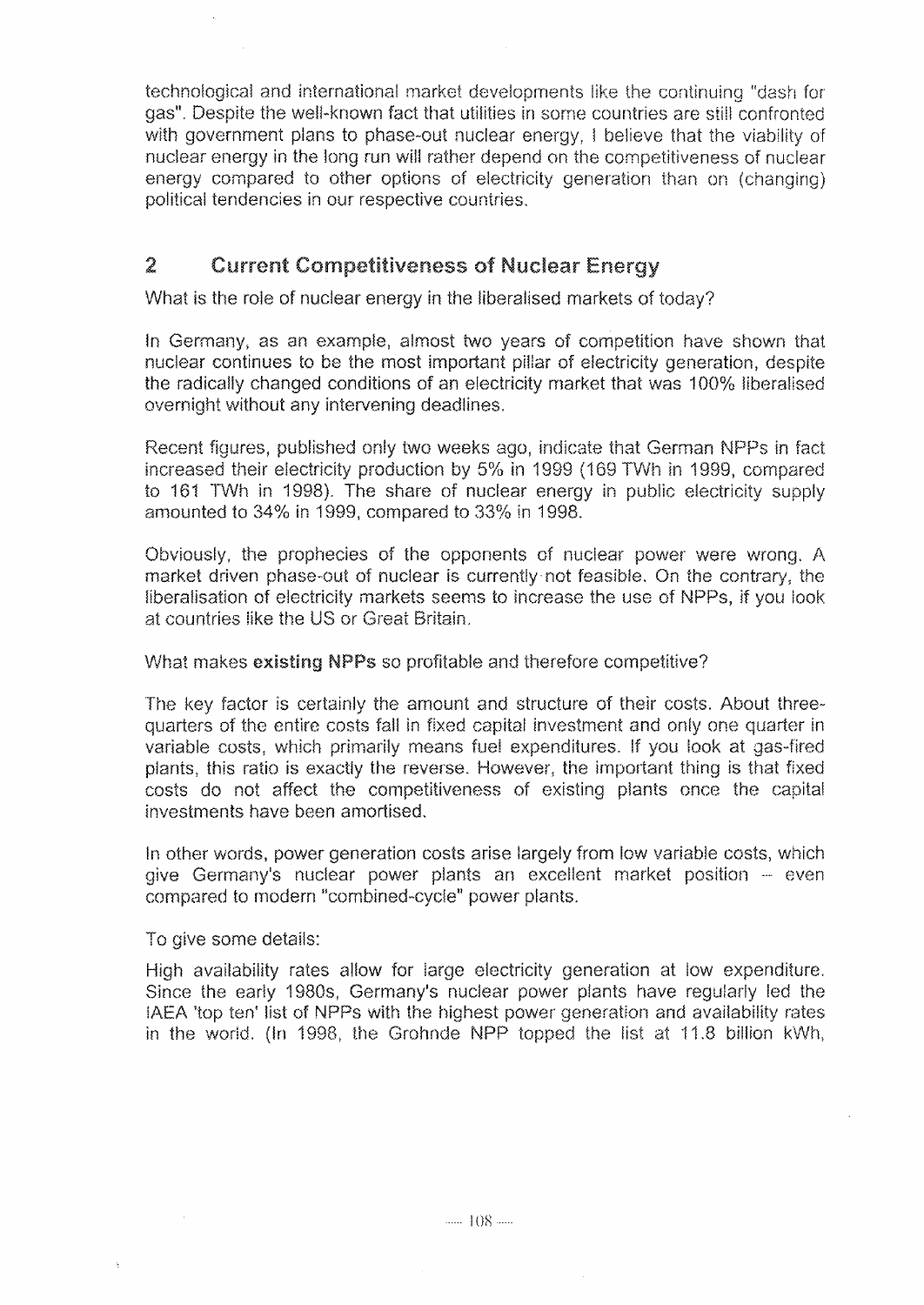technological and international market developments like the continuing "dash for gas". Despite the well-known fact that utilities in some countries are **still** confronted with government plans to phase-out nuclear energy, I believe that the viability of nuclear energy in the long run will rather depend on the competitiveness of nuclear energy compared to other options of electricity generation than on (changing) political tendencies in our respective countries.

#### $\overline{z}$ **Current Competitiveness of Nuclear Energy**

What is the role of nuclear energy in the liberalised markets of today?

In Germany, as an example, almost two years of competition have shown that nuclear continues to be the most important pillar of electricity generation, despite the radically changed conditions of an electricity market that was 100% liberalised overnight without any intervening deadlines,

Recent figures, published only two weeks ago, indicate that German NPPs in fact increased their electricity production by 5% in 1999 (189 TWh in 1999, compared to 181 TWh in 1998). The share of nuclear energy in public electricity supply amounted to 34% in 1999, compared to 33% in 1998.

Obviously, the prophecies of the opponents of nuclear power were wrong. A market driven phase-out of nuclear is currently not feasible. On the contrary, the liberalisation of electricity markets seems to increase the use of NPPs, if you look at countries like the US or Great Britain.

#### What makes existing NPPs so profitable and therefore competitive?

The key factor is certainly the amount and structure of their costs. About threequarters of the entire costs fali in fixed capital investment and only one quarter in variable costs, which primarily means fuel expenditures. If you look at gas-fired plants, this ratio is exactly the reverse. However, the important thing is that fixed costs do not affect the competitiveness of existing plants once the capital investments have been amortised.

in other words, power generation costs arise largely from low variable costs, which give Germany's nuclear power plants an excellent market position -- even compared to modern "combined-cycle" power plants.

To give some details:

High availability rates allow for large electricity generation at low expenditure. Since the early 1980s, Germany's nuclear power plants have regularly led the IAEA 'top ten' list of NPPs with the highest power generation and availability rates in the world. (In 1998, the Grohnde NPP topped the list at 11.8 billion kWh,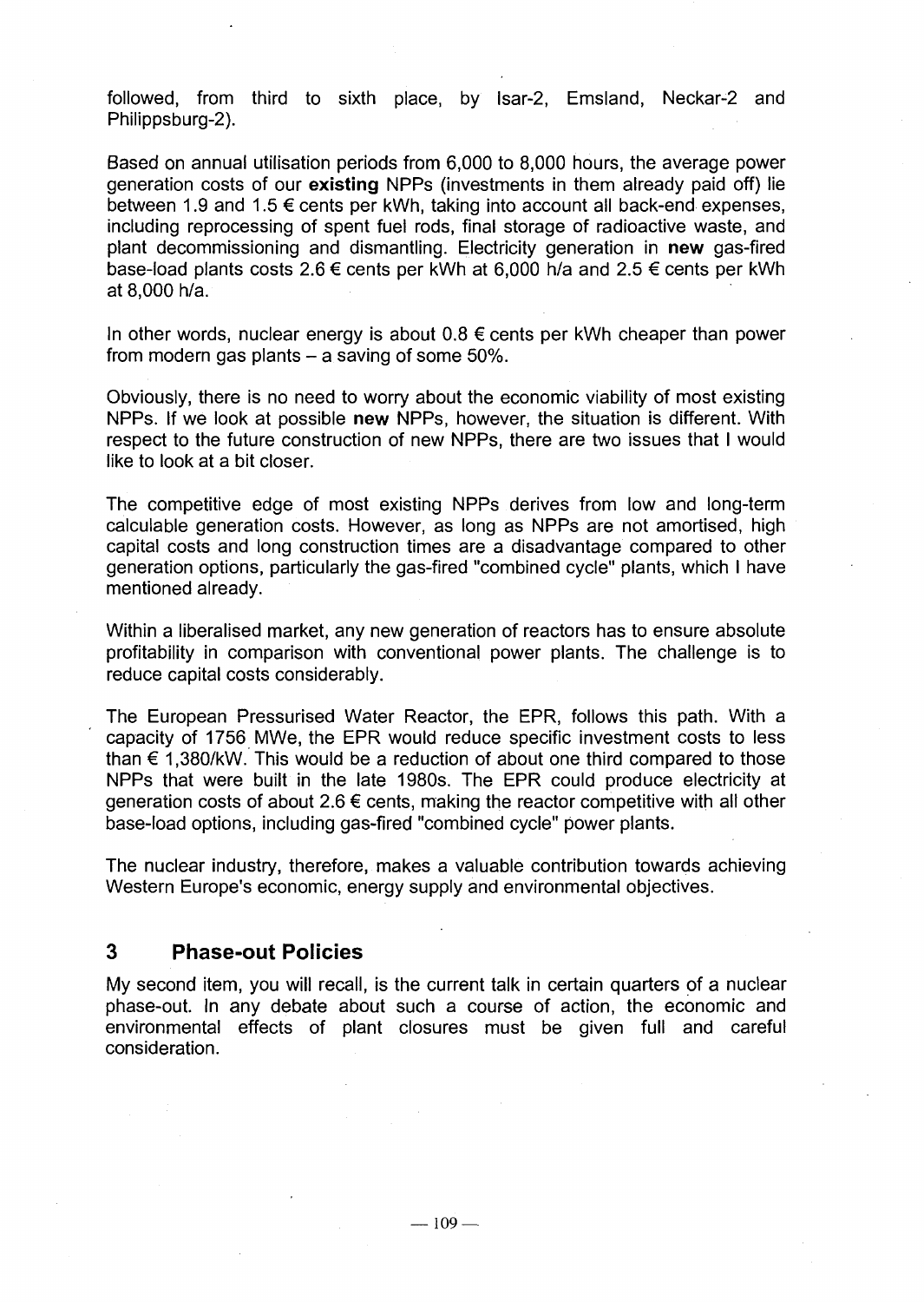followed, from third to sixth place, by lsar-2, Emsland, Neckar-2 and Philippsburg-2).

Based on annual utilisation periods from 6,000 to 8,000 hours, the average power generation costs of our **existing** NPPs (investments in them already paid off) lie between 1.9 and 1.5 € cents per kWh, taking into account all back-end expenses, including reprocessing of spent fuel rods, final storage of radioactive waste, and plant decommissioning and dismantling. Electricity generation in **new** gas-fired base-load plants costs 2.6 € cents per kWh at 6,000 h/a and 2.5 € cents per kWh at 8,000 h/a.

In other words, nuclear energy is about  $0.8 \epsilon$  cents per kWh cheaper than power from modern gas plants  $-$  a saving of some 50%.

Obviously, there is no need to worry about the economic viability of most existing NPPs. If we look at possible **new** NPPs, however, the situation is different. With respect to the future construction of new NPPs, there are two issues that I would like to look at a bit closer.

The competitive edge of most existing NPPs derives from low and long-term calculable generation costs. However, as long as NPPs are not amortised, high capital costs and long construction times are a disadvantage compared to other generation options, particularly the gas-fired "combined cycle" plants, which I have mentioned already.

Within a liberalised market, any new generation of reactors has to ensure absolute profitability in comparison with conventional power plants. The challenge is to reduce capital costs considerably.

The European Pressurised Water Reactor, the EPR, follows this path. With a capacity of 1756 MWe, the EPR would reduce specific investment costs to less than  $\epsilon$  1,380/kW. This would be a reduction of about one third compared to those NPPs that were built in the late 1980s. The EPR could produce electricity at generation costs of about 2.6 € cents, making the reactor competitive with all other base-load options, including gas-fired "combined cycle" power plants.

The nuclear industry, therefore, makes a valuable contribution towards achieving Western Europe's economic, energy supply and environmental objectives.

## **3 Phase-out Policies**

My second item, you will recall, is the current talk in certain quarters of a nuclear phase-out. In any debate about such a course of action, the economic and environmental effects of plant closures must be given full and careful consideration.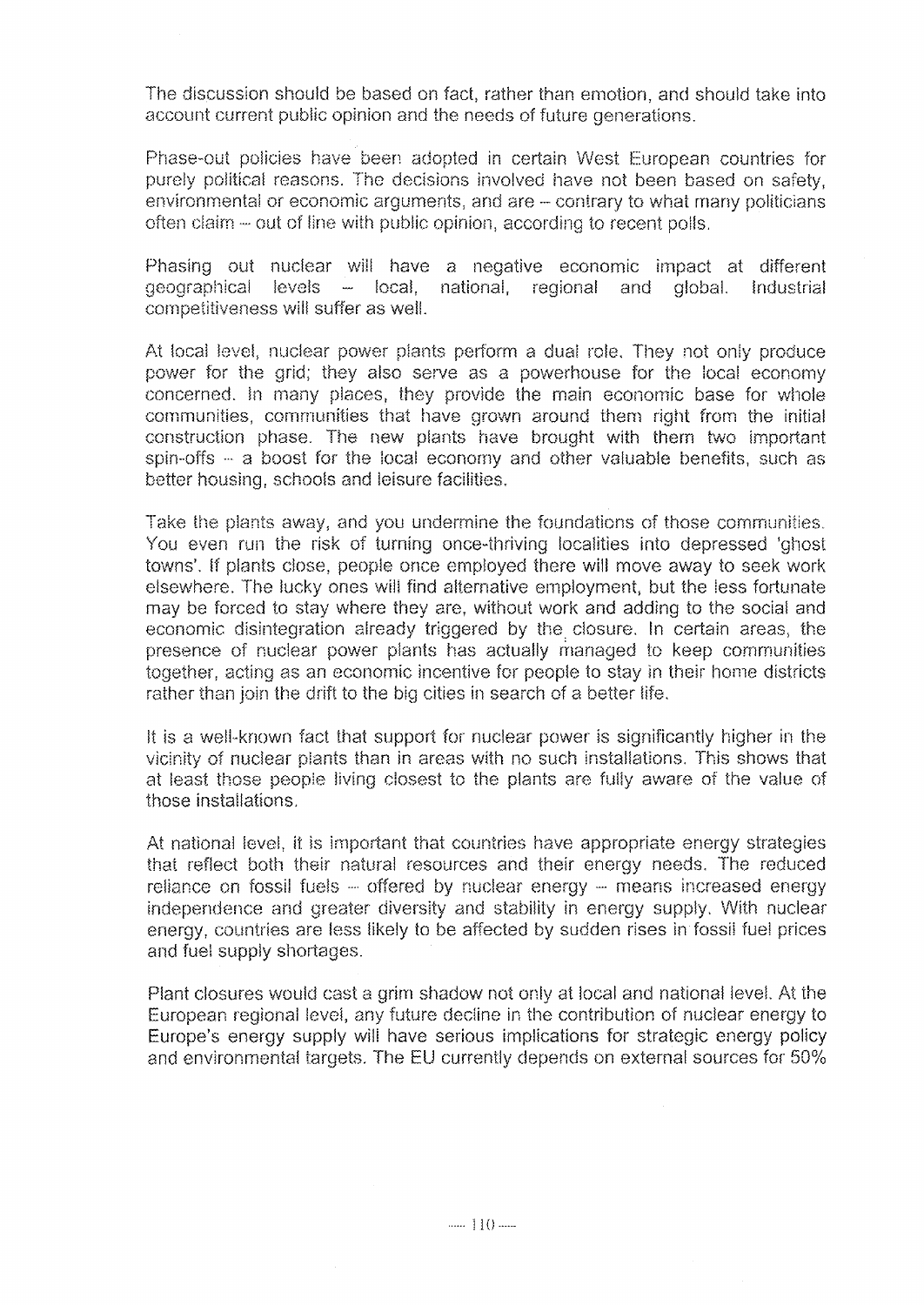The discussion should be based on fact, rather than emotion, and should take into account current public opinion and the needs of future generations.

Phase-out policies have been adopted in certain West European countries for purely political reasons. The decisions involved have not been based on safety, environmental or economic arguments, and are - contrary to what many politicians often claim - out of line with public opinion, according to recent polls.

Phasing out nuclear will have a negative economic impact at different geographical levels - local, national, regional and global. Industrial competitiveness will suffer as we!!.

At local level, nuclear power plants perform a dual role. They not only produce power for the grid; they also serve as a powerhouse for the local economy concerned. In many places, they provide the main economic base for whole communities, communities that have grown around them right from the initial construction phase. The new plants have brought with them two important spin-offs - a boost for the local economy and other valuable benefits, such as better housing, schools and leisure facilities.

Take the plants away, and you undermine the foundations of those communities. You even run the risk of turning once-thriving localities into depressed 'ghost towns'. If plants close, people once employed there will move away to seek work elsewhere. The lucky ones will find alternative employment, but the less fortunate may be forced to stay where they are, without work and adding to the social and economic disintegration already triggered by the. closure. In certain areas, the presence of nuclear power plants has actually managed to keep communities together, acting as an economic incentive for people to stay in their home districts rather than join the drift to the big cities in search of a better life.

It is a well-known fact that support for nuclear power is significantly higher in the vicinity of nuclear plants than in areas with no such installations. This shows that at least those people living closest to the plants are fully aware of the value of those installations,

At national level, it is important that countries have appropriate energy strategies that reflect both their natural resources and their energy needs. The reduced reliance on fossil fuels  $-$  offered by nuclear energy  $-$  means increased energy independence and greater diversity and stability in energy supply. With nuclear energy, countries are less likely to be affected by sudden rises in fossil fuel prices and fuel supply shortages.

Plant closures would cast a grim shadow not only at local and national level. At the European regional level, any future decline in the contribution of nuclear energy to Europe's energy supply wili have serious implications for strategic energy policy and environmental targets. The EU currently depends on external sources for 50%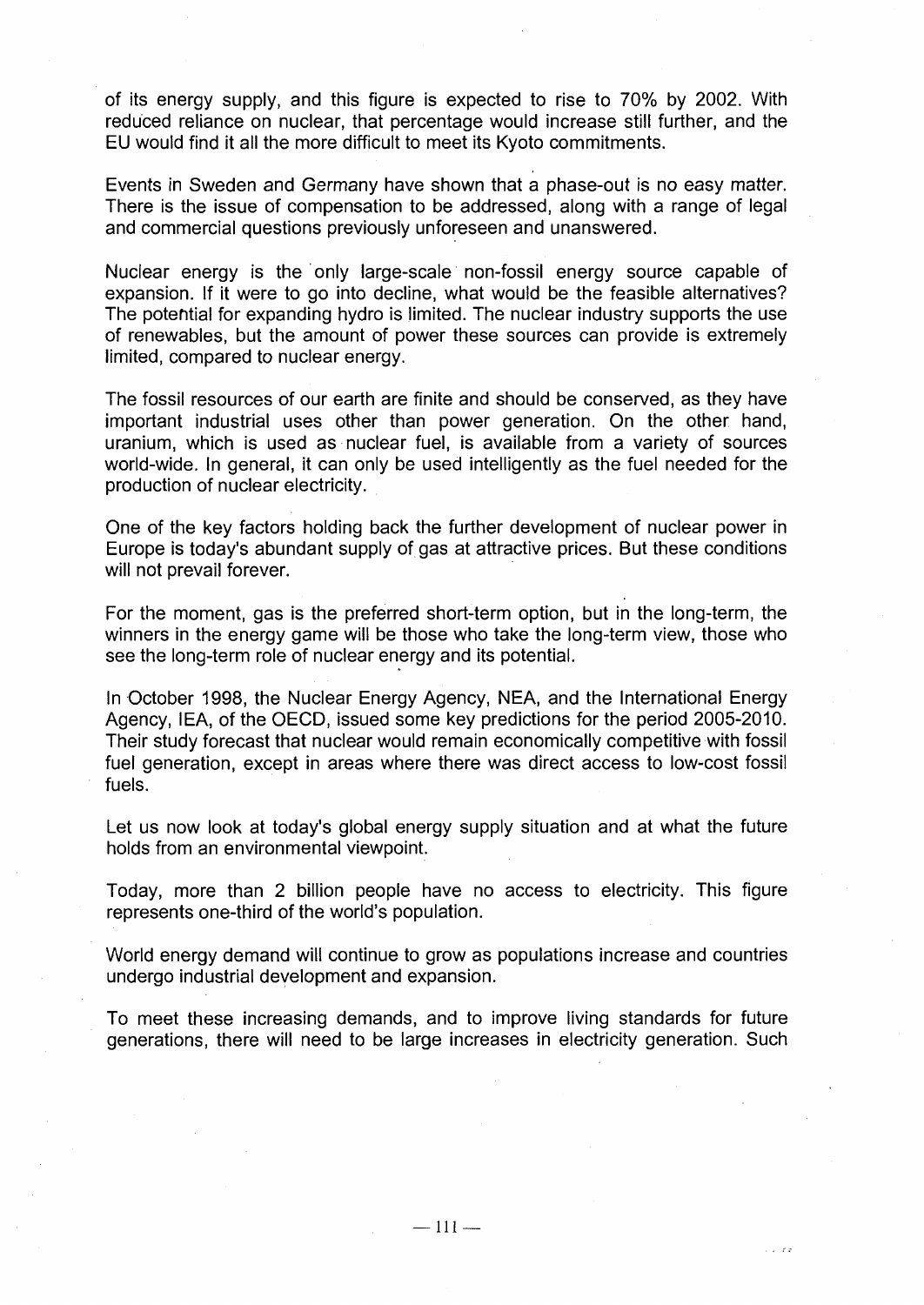of its energy supply, and this figure is expected to rise to 70% by 2002. With reduced reliance on nuclear, that percentage would increase still further, and the EU would find it all the more difficult to meet its Kyoto commitments.

Events in Sweden and Germany have shown that a phase-out is no easy matter. There is the issue of compensation to be addressed, along with a range of legal and commercial questions previously unforeseen and unanswered.

Nuclear energy is the only large-scale non-fossil energy source capable of expansion. If it were to go into decline, what would be the feasible alternatives? The potential for expanding hydro is limited. The nuclear industry supports the use of renewables, but the amount of power these sources can provide is extremely limited, compared to nuclear energy.

The fossil resources of our earth are finite and should be conserved, as they have important industrial uses other than power generation. On the other hand, uranium, which is used as nuclear fuel, is available from a variety of sources world-wide. In general, it can only be used intelligently as the fuel needed for the production of nuclear electricity.

One of the key factors holding back the further development of nuclear power in Europe is today's abundant supply of gas at attractive prices. But these conditions will not prevail forever.

For the moment, gas is the preferred short-term option, but in the long-term, the winners in the energy game will be those who take the long-term view, those who see the long-term role of nuclear energy and its potential.

In October 1998, the Nuclear Energy Agency, NEA, and the International Energy Agency, IEA, of the OECD, issued some key predictions for the period 2005-2010. Their study forecast that nuclear would remain economically competitive with fossil fuel generation, except in areas where there was direct access to low-cost fossil fuels.

Let us now look at today's global energy supply situation and at what the future holds from an environmental viewpoint.

Today, more than 2 billion people have no access to electricity. This figure represents one-third of the world's population.

World energy demand will continue to grow as populations increase and countries undergo industrial development and expansion.

To meet these increasing demands, and to improve living standards for future generations, there will need to be large increases in electricity generation. Such

 $\sqrt{2}$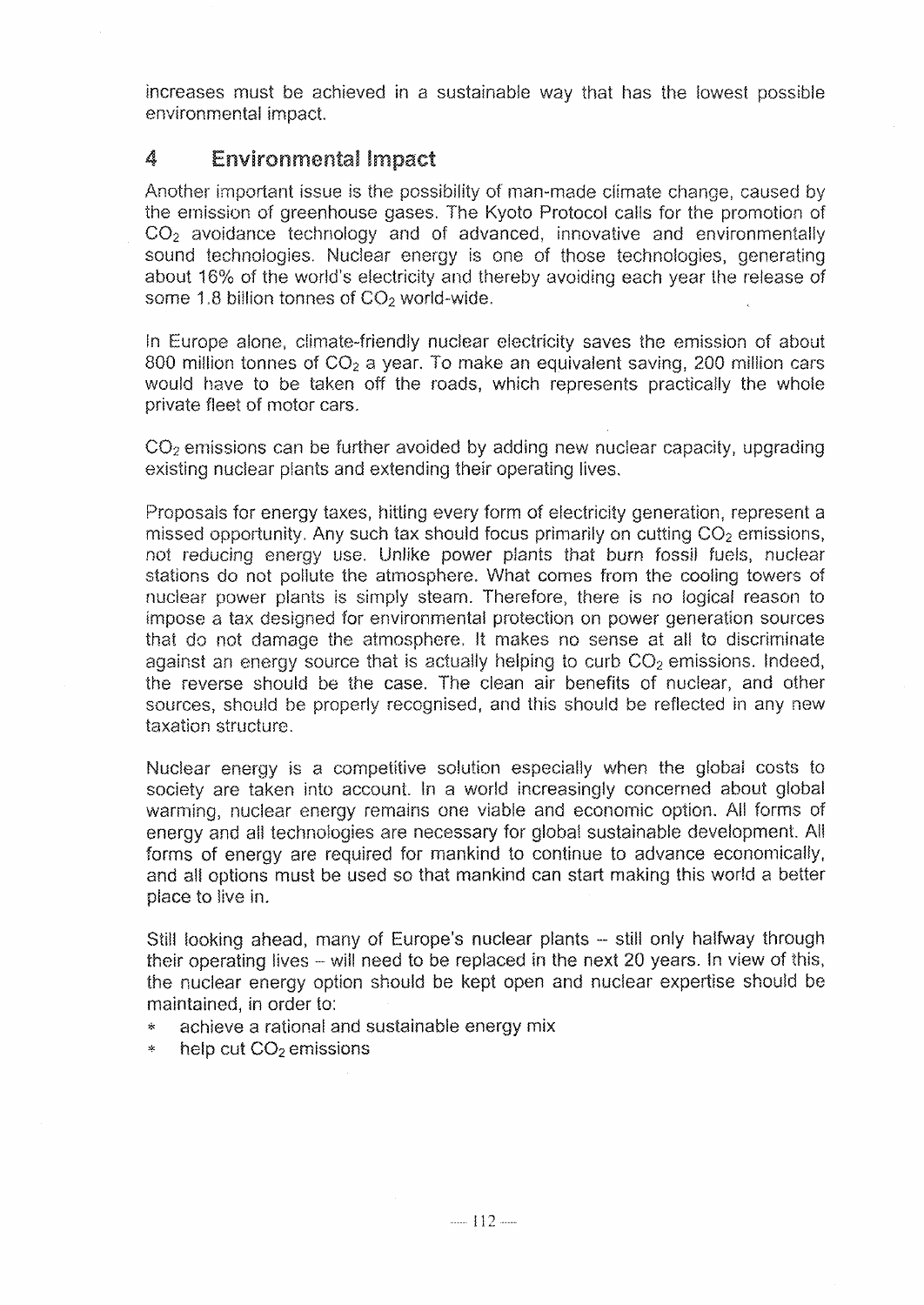increases must be achieved in a sustainable way that has the lowest possible environmental impact.

#### 4 **Environmental Impact**

Another important issue is the possibility of man-made climate change, caused by the emission of greenhouse gases. The Kyoto Protocol calis for the promotion of CO<sub>2</sub> avoidance technology and of advanced, innovative and environmentally sound technologies. Nuclear energy is one of those technologies, generating about 16% of the world's electricity and thereby avoiding each year the release of some 1.8 billion tonnes of CO<sub>2</sub> world-wide.

In Europe alone, climate-friendly nuclear electricity saves the emission of about 800 million tonnes of  $CO<sub>2</sub>$  a year. To make an equivalent saving, 200 million cars would have to be taken off the roads, which represents practically the whole private fleet of motor cars,

 $CO<sub>2</sub>$  emissions can be further avoided by adding new nuclear capacity, upgrading existing nuclear plants and extending their operating lives.

Proposals for energy taxes, hitting every form of electricity generation, represent a missed opportunity. Any such tax should focus primarily on cutting  $CO<sub>2</sub>$  emissions, not reducing energy use. Unlike power plants that burn fossil fuels, nuclear stations do not pollute the atmosphere. What comes from the cooling towers of nuclear power plants is simply steam. Therefore, there is no logical reason to impose a tax designed for environmental protection on power generation sources that do not damage the atmosphere, It makes no sense at all to discriminate against an energy source that is actually helping to curb  $CO<sub>2</sub>$  emissions. Indeed, the reverse should be the case. The clean air benefits of nuclear, and other sources, should be properly recognised, and this should be reflected in any new taxation structure.

Nuclear energy is a competitive solution especially when the global costs to society are taken into account. In a world increasingly concerned about global warming, nuclear energy remains one viable and economic option. All forms of energy and all technologies are necessary for giobai sustainable development. All forms of energy are required for mankind to continue to advance economically, and all options must be used so that mankind can start making this world a better place to live in.

Still looking ahead, many of Europe's nuclear plants - still only halfway through their operating lives - will need to be replaced in the next 20 years. In view of this, the nuclear energy option should be kept open and nuclear expertise should be maintained, in order to:

- achieve a rational and sustainable energy mix
- $*$  help cut  $CO<sub>2</sub>$  emissions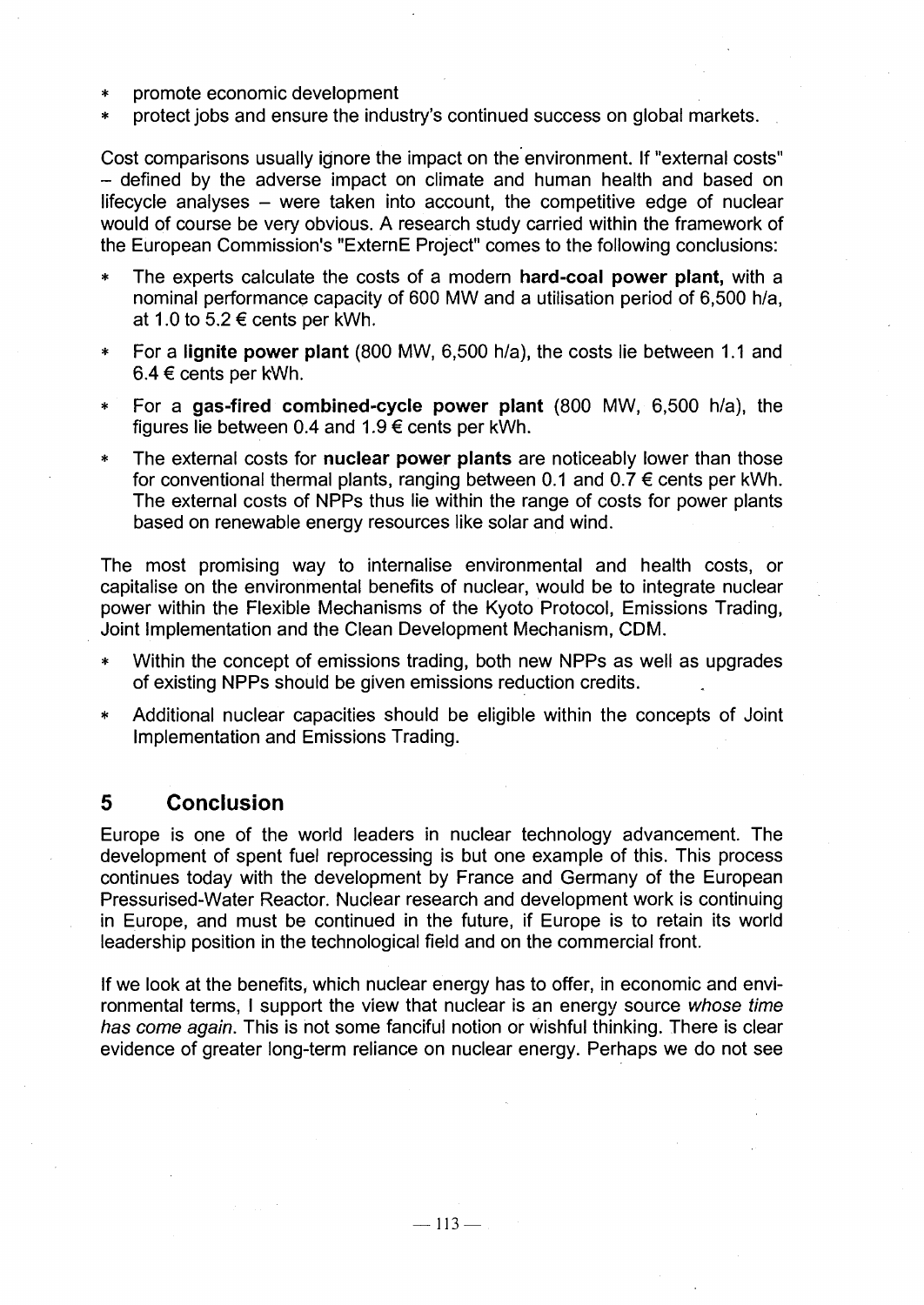- promote economic development
- protect jobs and ensure the industry's continued success on global markets.

Cost comparisons usually ignore the impact on the environment. If "external costs" - defined by the adverse impact on climate and human health and based on lifecycle analyses  $-$  were taken into account, the competitive edge of nuclear would of course be very obvious. A research study carried within the framework of the European Commission's "ExternE Project" comes to the following conclusions:

- \* The experts calculate the costs of a modern **hard-coal power plant,** with a nominal performance capacity of 600 MW and a utilisation period of 6,500 h/a, at 1.0 to  $5.2 \in \text{cents}$  per kWh.
- \* For a **lignite power plant** (800 MW, 6,500 h/a), the costs lie between 1.1 and  $6.4 \in \text{cents}$  per kWh.
- \* For a **gas-fired combined-cycle power plant** (800 MW, 6,500 h/a), the figures lie between 0.4 and 1.9  $\epsilon$  cents per kWh.
- The external costs for **nuclear power plants** are noticeably lower than those for conventional thermal plants, ranging between 0.1 and 0.7  $\epsilon$  cents per kWh. The external costs of NPPs thus lie within the range of costs for power plants based on renewable energy resources like solar and wind.

The most promising way to internalise environmental and health costs, or capitalise on the environmental benefits of nuclear, would be to integrate nuclear power within the Flexible Mechanisms of the Kyoto Protocol, Emissions Trading, Joint implementation and the Clean Development Mechanism, CDM.

- Within the concept of emissions trading, both new NPPs as well as upgrades of existing NPPs should be given emissions reduction credits.
- Additional nuclear capacities should be eligible within the concepts of Joint Implementation and Emissions Trading.

# **5 Conclusion**

Europe is one of the world leaders in nuclear technology advancement. The development of spent fuel reprocessing is but one example of this. This process continues today with the development by France and Germany of the European Pressurised-Water Reactor. Nuclear research and development work is continuing in Europe, and must be continued in the future, if Europe is to retain its world leadership position in the technological field and on the commercial front.

If we look at the benefits, which nuclear energy has to offer, in economic and environmental terms, I support the view that nuclear is an energy source whose time has come again. This is not some fanciful notion or wishful thinking. There is clear evidence of greater long-term reliance on nuclear energy. Perhaps we do not see